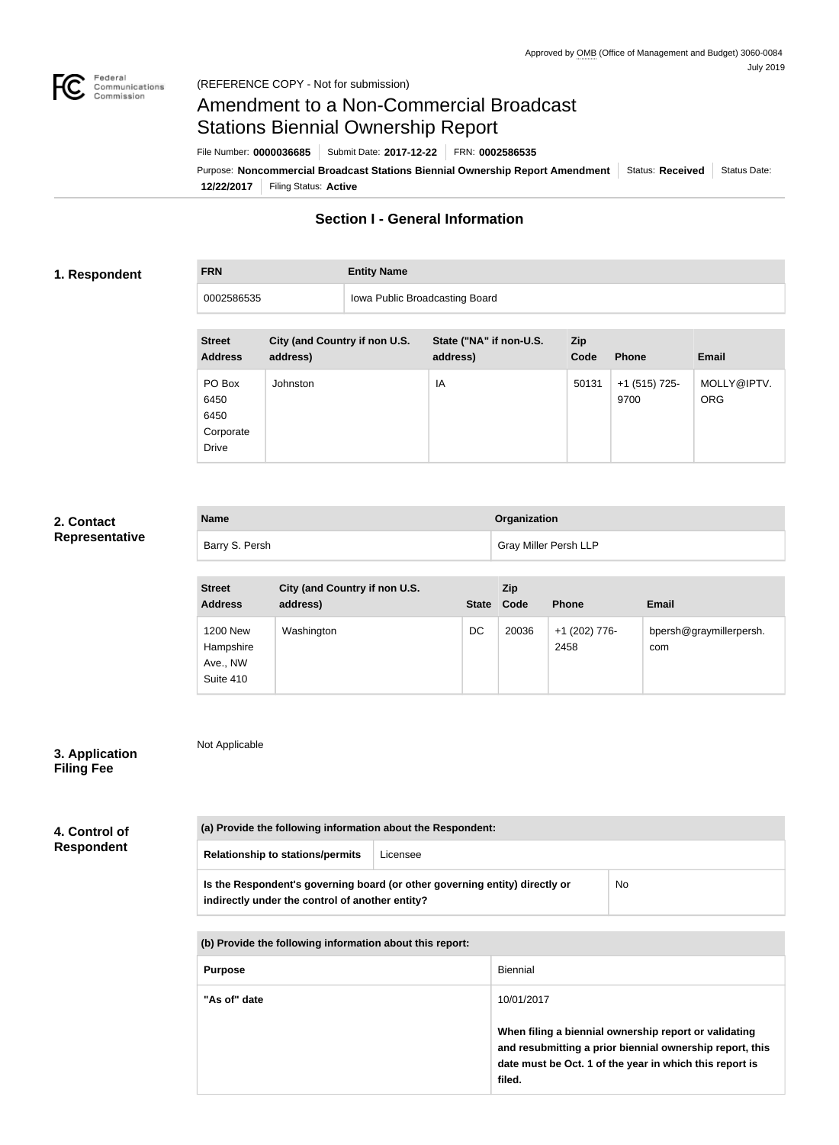

# Amendment to a Non-Commercial Broadcast Stations Biennial Ownership Report

File Number: **0000036685** Submit Date: **2017-12-22** FRN: **0002586535**

**12/22/2017** Filing Status: **Active** Purpose: Noncommercial Broadcast Stations Biennial Ownership Report Amendment Status: Received Status Date:

## **Section I - General Information**

#### **1. Respondent**

**FRN Entity Name**

0002586535 **Iowa Public Broadcasting Board** 

| <b>Street</b><br><b>Address</b>                     | City (and Country if non U.S.<br>address) | State ("NA" if non-U.S.<br>address) | <b>Zip</b><br>Code | <b>Phone</b>          | <b>Email</b>              |
|-----------------------------------------------------|-------------------------------------------|-------------------------------------|--------------------|-----------------------|---------------------------|
| PO Box<br>6450<br>6450<br>Corporate<br><b>Drive</b> | Johnston                                  | IA                                  | 50131              | +1 (515) 725-<br>9700 | MOLLY@IPTV.<br><b>ORG</b> |

#### **2. Contact Representative**

| <b>Name</b>    | Organization                 |
|----------------|------------------------------|
| Barry S. Persh | <b>Gray Miller Persh LLP</b> |

| <b>Street</b><br><b>Address</b>                       | City (and Country if non U.S.<br>address) | State Code | <b>Zip</b> | <b>Phone</b>          | <b>Email</b>                   |
|-------------------------------------------------------|-------------------------------------------|------------|------------|-----------------------|--------------------------------|
| <b>1200 New</b><br>Hampshire<br>Ave., NW<br>Suite 410 | Washington                                | DC         | 20036      | +1 (202) 776-<br>2458 | bpersh@graymillerpersh.<br>com |

### **3. Application Filing Fee**

Not Applicable

**4. Control of Respondent**

| (a) Provide the following information about the Respondent:                                                                    |          |    |
|--------------------------------------------------------------------------------------------------------------------------------|----------|----|
| <b>Relationship to stations/permits</b>                                                                                        | Licensee |    |
| Is the Respondent's governing board (or other governing entity) directly or<br>indirectly under the control of another entity? |          | No |

**(b) Provide the following information about this report:**

| <b>Purpose</b> | Biennial                                                                                                                                                                               |
|----------------|----------------------------------------------------------------------------------------------------------------------------------------------------------------------------------------|
| "As of" date   | 10/01/2017                                                                                                                                                                             |
|                | When filing a biennial ownership report or validating<br>and resubmitting a prior biennial ownership report, this<br>date must be Oct. 1 of the year in which this report is<br>filed. |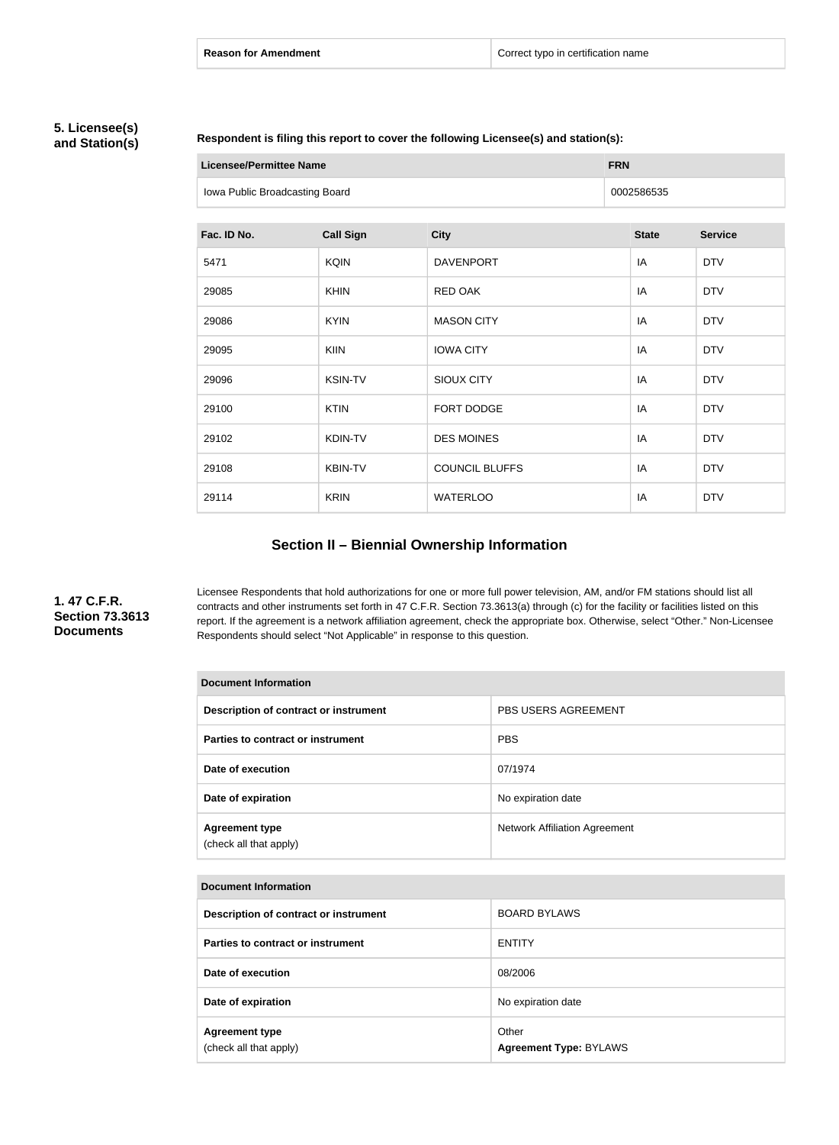#### **5. Licensee(s) and Station(s)**

#### **Respondent is filing this report to cover the following Licensee(s) and station(s):**

| <b>Licensee/Permittee Name</b> |                  |                       | <b>FRN</b> |              |                |
|--------------------------------|------------------|-----------------------|------------|--------------|----------------|
| Iowa Public Broadcasting Board |                  |                       | 0002586535 |              |                |
|                                |                  |                       |            |              |                |
| Fac. ID No.                    | <b>Call Sign</b> | <b>City</b>           |            | <b>State</b> | <b>Service</b> |
| 5471                           | <b>KQIN</b>      | <b>DAVENPORT</b>      |            | IA           | <b>DTV</b>     |
| 29085                          | <b>KHIN</b>      | RED OAK               |            | IA           | <b>DTV</b>     |
| 29086                          | <b>KYIN</b>      | <b>MASON CITY</b>     |            | IA           | <b>DTV</b>     |
| 29095                          | <b>KIIN</b>      | <b>IOWA CITY</b>      |            | IA           | <b>DTV</b>     |
| 29096                          | <b>KSIN-TV</b>   | SIOUX CITY            |            | IA           | <b>DTV</b>     |
| 29100                          | <b>KTIN</b>      | FORT DODGE            |            | IA           | <b>DTV</b>     |
| 29102                          | KDIN-TV          | <b>DES MOINES</b>     |            | IA           | <b>DTV</b>     |
| 29108                          | <b>KBIN-TV</b>   | <b>COUNCIL BLUFFS</b> |            | IA           | <b>DTV</b>     |
| 29114                          | <b>KRIN</b>      | <b>WATERLOO</b>       |            | IA           | <b>DTV</b>     |

# **Section II – Biennial Ownership Information**

### **1. 47 C.F.R. Section 73.3613 Documents**

Licensee Respondents that hold authorizations for one or more full power television, AM, and/or FM stations should list all contracts and other instruments set forth in 47 C.F.R. Section 73.3613(a) through (c) for the facility or facilities listed on this report. If the agreement is a network affiliation agreement, check the appropriate box. Otherwise, select "Other." Non-Licensee Respondents should select "Not Applicable" in response to this question.

| <b>Document Information</b>                     |                               |  |  |
|-------------------------------------------------|-------------------------------|--|--|
| Description of contract or instrument           | <b>PBS USERS AGREEMENT</b>    |  |  |
| Parties to contract or instrument               | <b>PBS</b>                    |  |  |
| Date of execution                               | 07/1974                       |  |  |
| Date of expiration                              | No expiration date            |  |  |
| <b>Agreement type</b><br>(check all that apply) | Network Affiliation Agreement |  |  |

| Document Information |
|----------------------|
|                      |

| Description of contract or instrument           | <b>BOARD BYLAWS</b>                    |
|-------------------------------------------------|----------------------------------------|
| Parties to contract or instrument               | <b>ENTITY</b>                          |
| Date of execution                               | 08/2006                                |
| Date of expiration                              | No expiration date                     |
| <b>Agreement type</b><br>(check all that apply) | Other<br><b>Agreement Type: BYLAWS</b> |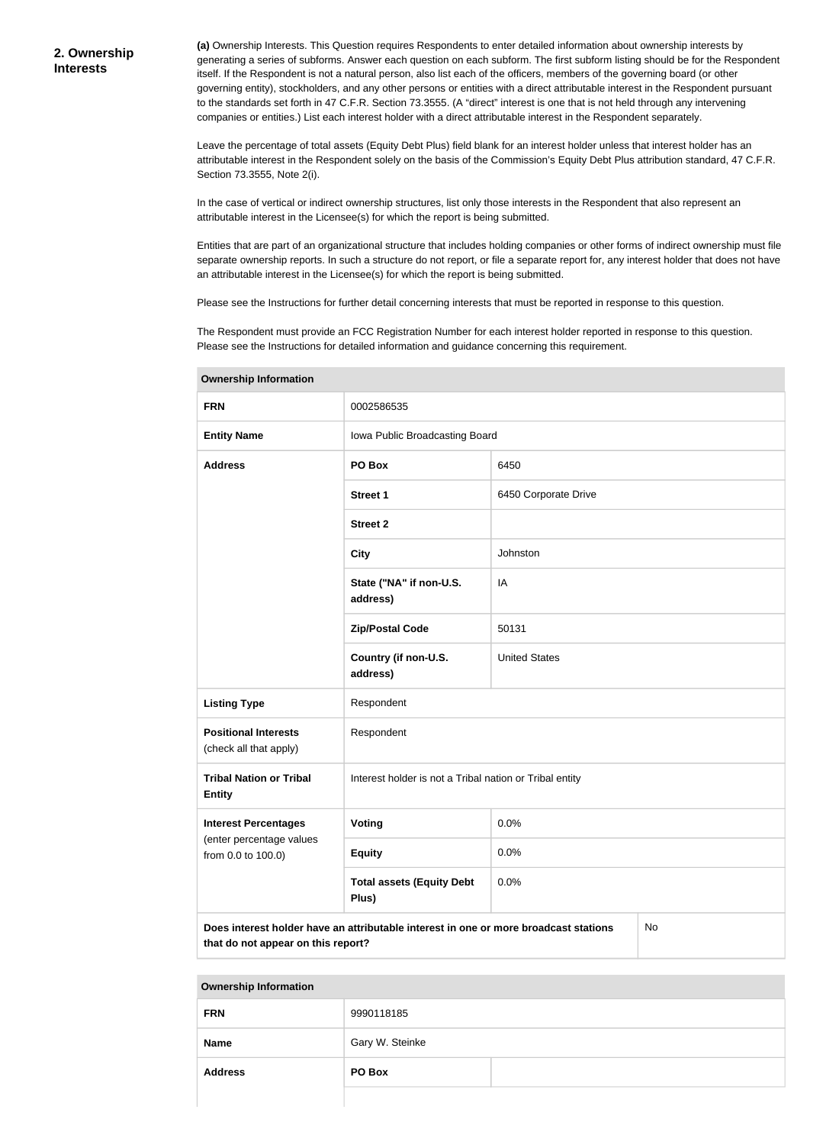**(a)** Ownership Interests. This Question requires Respondents to enter detailed information about ownership interests by generating a series of subforms. Answer each question on each subform. The first subform listing should be for the Respondent itself. If the Respondent is not a natural person, also list each of the officers, members of the governing board (or other governing entity), stockholders, and any other persons or entities with a direct attributable interest in the Respondent pursuant to the standards set forth in 47 C.F.R. Section 73.3555. (A "direct" interest is one that is not held through any intervening companies or entities.) List each interest holder with a direct attributable interest in the Respondent separately.

Leave the percentage of total assets (Equity Debt Plus) field blank for an interest holder unless that interest holder has an attributable interest in the Respondent solely on the basis of the Commission's Equity Debt Plus attribution standard, 47 C.F.R. Section 73.3555, Note 2(i).

In the case of vertical or indirect ownership structures, list only those interests in the Respondent that also represent an attributable interest in the Licensee(s) for which the report is being submitted.

Entities that are part of an organizational structure that includes holding companies or other forms of indirect ownership must file separate ownership reports. In such a structure do not report, or file a separate report for, any interest holder that does not have an attributable interest in the Licensee(s) for which the report is being submitted.

Please see the Instructions for further detail concerning interests that must be reported in response to this question.

The Respondent must provide an FCC Registration Number for each interest holder reported in response to this question. Please see the Instructions for detailed information and guidance concerning this requirement.

| ווטווועווטווון קוווטוטווער                                                                                                       |                                                         |                      |  |  |
|----------------------------------------------------------------------------------------------------------------------------------|---------------------------------------------------------|----------------------|--|--|
| <b>FRN</b>                                                                                                                       | 0002586535                                              |                      |  |  |
| <b>Entity Name</b>                                                                                                               | Iowa Public Broadcasting Board                          |                      |  |  |
| <b>Address</b>                                                                                                                   | PO Box                                                  | 6450                 |  |  |
|                                                                                                                                  | <b>Street 1</b>                                         | 6450 Corporate Drive |  |  |
|                                                                                                                                  | <b>Street 2</b>                                         |                      |  |  |
|                                                                                                                                  | <b>City</b>                                             | Johnston             |  |  |
|                                                                                                                                  | State ("NA" if non-U.S.<br>address)                     | IA                   |  |  |
|                                                                                                                                  | <b>Zip/Postal Code</b>                                  | 50131                |  |  |
|                                                                                                                                  | Country (if non-U.S.<br>address)                        | <b>United States</b> |  |  |
| <b>Listing Type</b>                                                                                                              | Respondent                                              |                      |  |  |
| <b>Positional Interests</b><br>(check all that apply)                                                                            | Respondent                                              |                      |  |  |
| <b>Tribal Nation or Tribal</b><br><b>Entity</b>                                                                                  | Interest holder is not a Tribal nation or Tribal entity |                      |  |  |
| <b>Interest Percentages</b>                                                                                                      | <b>Voting</b>                                           | 0.0%                 |  |  |
| (enter percentage values<br>from 0.0 to 100.0)                                                                                   | <b>Equity</b>                                           | 0.0%                 |  |  |
|                                                                                                                                  | <b>Total assets (Equity Debt</b><br>Plus)               | 0.0%                 |  |  |
| Does interest holder have an attributable interest in one or more broadcast stations<br>No<br>that do not appear on this report? |                                                         |                      |  |  |

**Ownership Information**

#### **Ownership Information**

| <b>FRN</b>     | 9990118185      |  |
|----------------|-----------------|--|
| <b>Name</b>    | Gary W. Steinke |  |
| <b>Address</b> | PO Box          |  |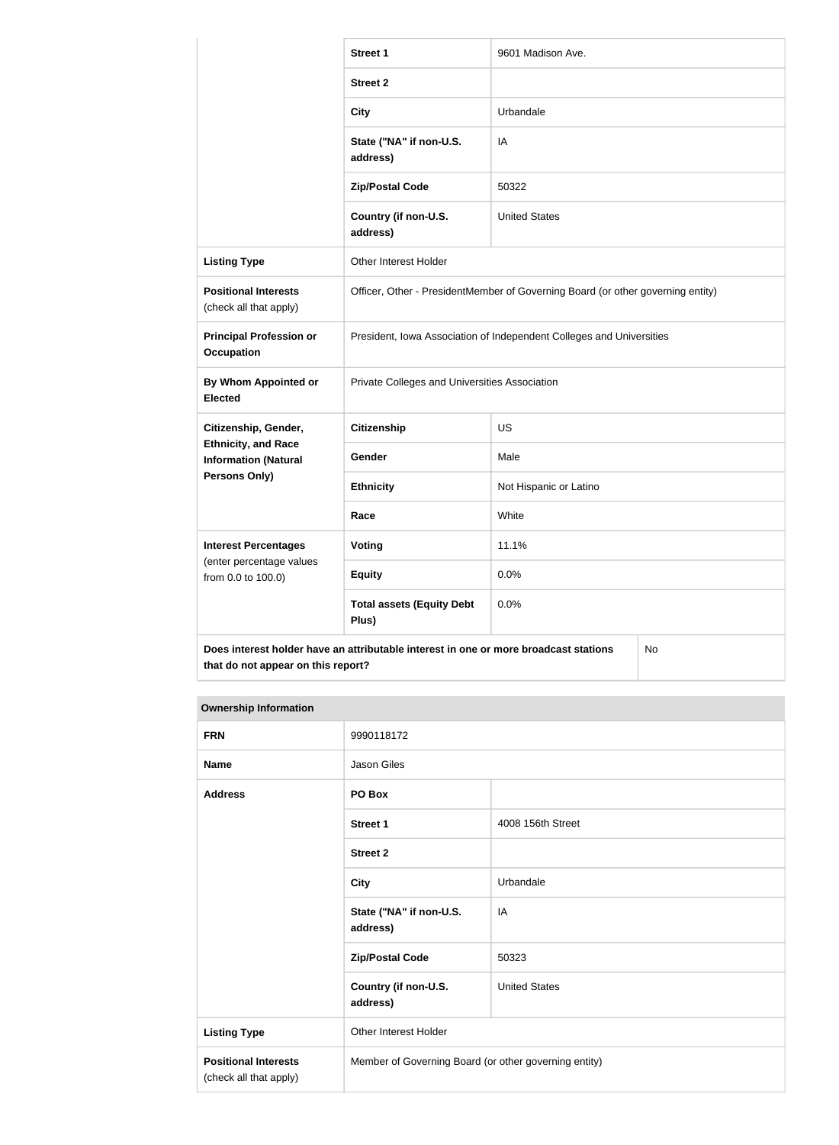|                                                                                            | <b>Street 1</b>                                                                 | 9601 Madison Ave.      |  |
|--------------------------------------------------------------------------------------------|---------------------------------------------------------------------------------|------------------------|--|
|                                                                                            | <b>Street 2</b>                                                                 |                        |  |
|                                                                                            | <b>City</b>                                                                     | Urbandale              |  |
|                                                                                            | State ("NA" if non-U.S.<br>address)                                             | IA                     |  |
|                                                                                            | <b>Zip/Postal Code</b>                                                          | 50322                  |  |
|                                                                                            | Country (if non-U.S.<br>address)                                                | <b>United States</b>   |  |
| <b>Listing Type</b>                                                                        | Other Interest Holder                                                           |                        |  |
| <b>Positional Interests</b><br>(check all that apply)                                      | Officer, Other - PresidentMember of Governing Board (or other governing entity) |                        |  |
| <b>Principal Profession or</b><br><b>Occupation</b>                                        | President, Iowa Association of Independent Colleges and Universities            |                        |  |
| By Whom Appointed or<br><b>Elected</b>                                                     | Private Colleges and Universities Association                                   |                        |  |
| Citizenship, Gender,                                                                       | <b>Citizenship</b>                                                              | <b>US</b>              |  |
| <b>Ethnicity, and Race</b><br><b>Information (Natural</b>                                  | Gender                                                                          | Male                   |  |
| Persons Only)                                                                              | <b>Ethnicity</b>                                                                | Not Hispanic or Latino |  |
|                                                                                            | Race                                                                            | White                  |  |
| <b>Interest Percentages</b>                                                                | Voting                                                                          | 11.1%                  |  |
| (enter percentage values<br>from 0.0 to 100.0)                                             | <b>Equity</b>                                                                   | 0.0%                   |  |
|                                                                                            | <b>Total assets (Equity Debt</b><br>Plus)                                       | 0.0%                   |  |
| Does interest holder have an attributable interest in one or more broadcast stations<br>No |                                                                                 |                        |  |

### **that do not appear on this report?**

| <b>Ownership Information</b>                          |                                                       |                      |  |
|-------------------------------------------------------|-------------------------------------------------------|----------------------|--|
| <b>FRN</b>                                            | 9990118172                                            |                      |  |
| <b>Name</b>                                           | Jason Giles                                           |                      |  |
| <b>Address</b>                                        | PO Box                                                |                      |  |
|                                                       | Street 1                                              | 4008 156th Street    |  |
|                                                       | <b>Street 2</b>                                       |                      |  |
|                                                       | <b>City</b>                                           | Urbandale            |  |
|                                                       | State ("NA" if non-U.S.<br>address)                   | IA                   |  |
|                                                       | <b>Zip/Postal Code</b>                                | 50323                |  |
|                                                       | Country (if non-U.S.<br>address)                      | <b>United States</b> |  |
| <b>Listing Type</b>                                   | Other Interest Holder                                 |                      |  |
| <b>Positional Interests</b><br>(check all that apply) | Member of Governing Board (or other governing entity) |                      |  |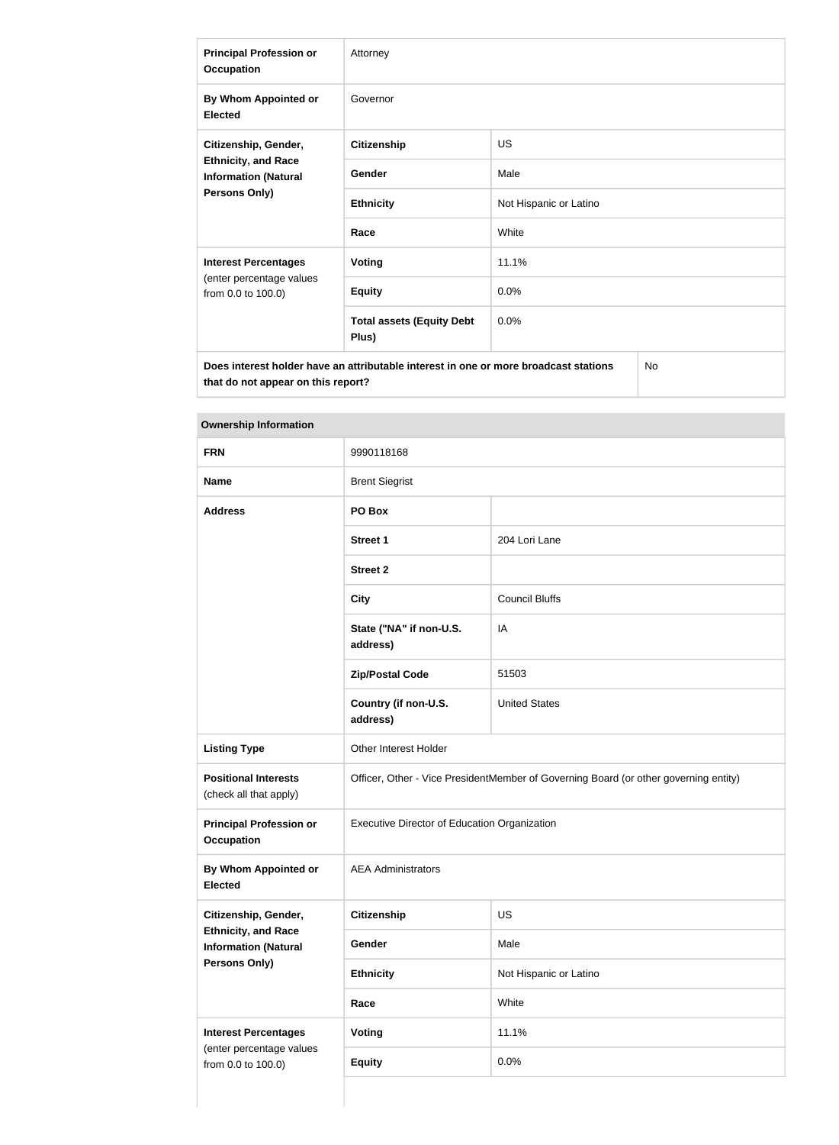| <b>Principal Profession or</b><br><b>Occupation</b>                                                | Attorney                                  |                        |  |
|----------------------------------------------------------------------------------------------------|-------------------------------------------|------------------------|--|
| By Whom Appointed or<br><b>Elected</b>                                                             | Governor                                  |                        |  |
| Citizenship, Gender,<br><b>Ethnicity, and Race</b><br><b>Information (Natural</b><br>Persons Only) | <b>Citizenship</b>                        | <b>US</b>              |  |
|                                                                                                    | Gender                                    | Male                   |  |
|                                                                                                    | <b>Ethnicity</b>                          | Not Hispanic or Latino |  |
|                                                                                                    | Race                                      | White                  |  |
| <b>Interest Percentages</b>                                                                        | <b>Voting</b>                             | 11.1%                  |  |
| (enter percentage values<br>from 0.0 to 100.0)                                                     | <b>Equity</b>                             | 0.0%                   |  |
|                                                                                                    | <b>Total assets (Equity Debt</b><br>Plus) | 0.0%                   |  |
| <b>No</b><br>Does interest holder have an attributable interest in one or more broadcast stations  |                                           |                        |  |

**Ownership Information**

**that do not appear on this report?**

| ,,,,,,,,,,,,,,,,,,,,,,,,,,,,,                             |                                                                                      |                        |  |
|-----------------------------------------------------------|--------------------------------------------------------------------------------------|------------------------|--|
| <b>FRN</b>                                                | 9990118168                                                                           |                        |  |
| <b>Name</b>                                               | <b>Brent Siegrist</b>                                                                |                        |  |
| <b>Address</b>                                            | PO Box                                                                               |                        |  |
|                                                           | <b>Street 1</b>                                                                      | 204 Lori Lane          |  |
|                                                           | <b>Street 2</b>                                                                      |                        |  |
|                                                           | <b>City</b>                                                                          | <b>Council Bluffs</b>  |  |
|                                                           | State ("NA" if non-U.S.<br>address)                                                  | IA                     |  |
|                                                           | <b>Zip/Postal Code</b>                                                               | 51503                  |  |
|                                                           | Country (if non-U.S.<br>address)                                                     | <b>United States</b>   |  |
| <b>Listing Type</b>                                       | <b>Other Interest Holder</b>                                                         |                        |  |
| <b>Positional Interests</b><br>(check all that apply)     | Officer, Other - Vice PresidentMember of Governing Board (or other governing entity) |                        |  |
| <b>Principal Profession or</b><br><b>Occupation</b>       | Executive Director of Education Organization                                         |                        |  |
| By Whom Appointed or<br><b>Elected</b>                    | <b>AEA Administrators</b>                                                            |                        |  |
| Citizenship, Gender,                                      | <b>Citizenship</b>                                                                   | US                     |  |
| <b>Ethnicity, and Race</b><br><b>Information (Natural</b> | Gender                                                                               | Male                   |  |
| <b>Persons Only)</b>                                      | <b>Ethnicity</b>                                                                     | Not Hispanic or Latino |  |
|                                                           | Race                                                                                 | White                  |  |
| <b>Interest Percentages</b>                               | Voting                                                                               | 11.1%                  |  |
| (enter percentage values<br>from 0.0 to 100.0)            | <b>Equity</b>                                                                        | 0.0%                   |  |
|                                                           |                                                                                      |                        |  |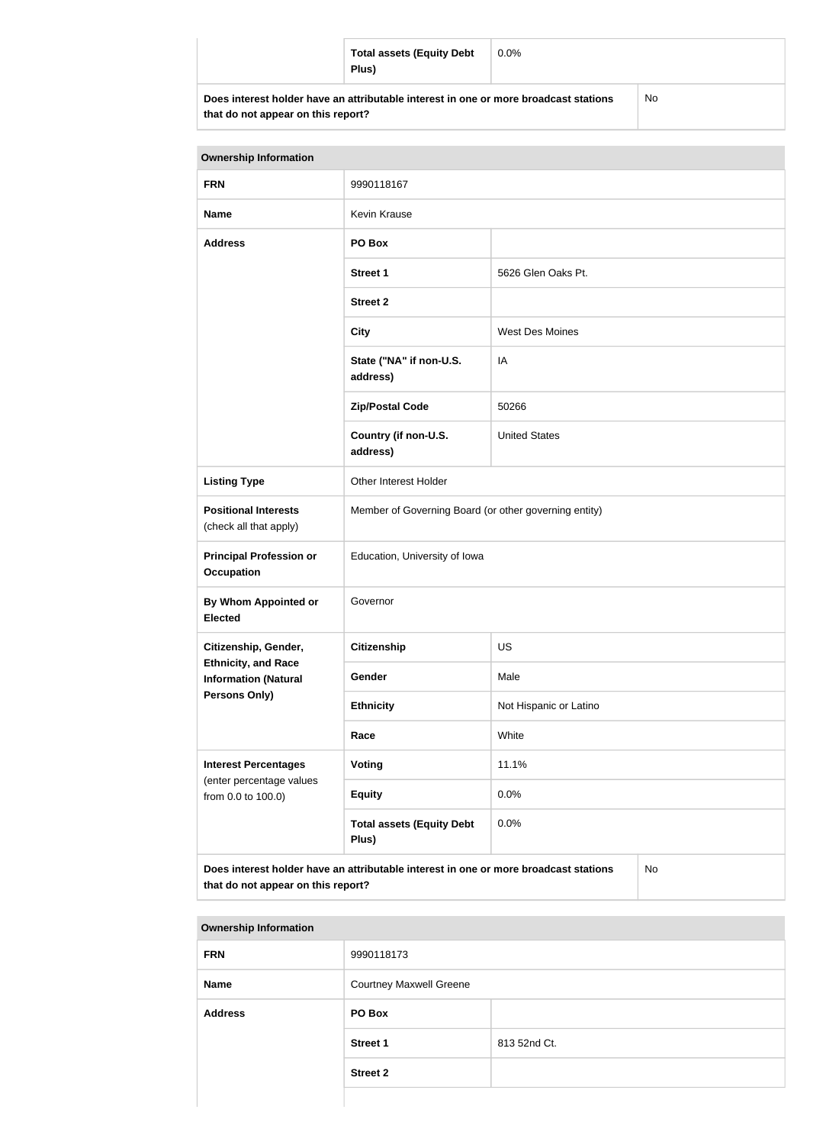| <b>Total assets (Equity Debt</b><br>Plus)                                            | $0.0\%$ |     |
|--------------------------------------------------------------------------------------|---------|-----|
| Does interest holder have an attributable interest in one or more broadcast stations |         | No. |

| that do not appear on this report? |  |  |  |  |  |  |
|------------------------------------|--|--|--|--|--|--|
|------------------------------------|--|--|--|--|--|--|

| <b>Ownership Information</b>                                                                                                     |                                                       |                        |  |  |
|----------------------------------------------------------------------------------------------------------------------------------|-------------------------------------------------------|------------------------|--|--|
| <b>FRN</b>                                                                                                                       | 9990118167                                            |                        |  |  |
| <b>Name</b>                                                                                                                      | <b>Kevin Krause</b>                                   |                        |  |  |
| <b>Address</b>                                                                                                                   | PO Box                                                |                        |  |  |
|                                                                                                                                  | <b>Street 1</b>                                       | 5626 Glen Oaks Pt.     |  |  |
|                                                                                                                                  | <b>Street 2</b>                                       |                        |  |  |
|                                                                                                                                  | <b>City</b>                                           | West Des Moines        |  |  |
|                                                                                                                                  | State ("NA" if non-U.S.<br>address)                   | IA                     |  |  |
|                                                                                                                                  | <b>Zip/Postal Code</b>                                | 50266                  |  |  |
|                                                                                                                                  | Country (if non-U.S.<br>address)                      | <b>United States</b>   |  |  |
| <b>Listing Type</b>                                                                                                              | Other Interest Holder                                 |                        |  |  |
| <b>Positional Interests</b><br>(check all that apply)                                                                            | Member of Governing Board (or other governing entity) |                        |  |  |
| <b>Principal Profession or</b><br><b>Occupation</b>                                                                              | Education, University of Iowa                         |                        |  |  |
| <b>By Whom Appointed or</b><br><b>Elected</b>                                                                                    | Governor                                              |                        |  |  |
| Citizenship, Gender,                                                                                                             | <b>Citizenship</b>                                    | <b>US</b>              |  |  |
| <b>Ethnicity, and Race</b><br><b>Information (Natural</b>                                                                        | Gender                                                | Male                   |  |  |
| <b>Persons Only)</b>                                                                                                             | <b>Ethnicity</b>                                      | Not Hispanic or Latino |  |  |
|                                                                                                                                  | Race                                                  | White                  |  |  |
| <b>Interest Percentages</b>                                                                                                      | <b>Voting</b>                                         | 11.1%                  |  |  |
| (enter percentage values<br>from 0.0 to 100.0)                                                                                   | <b>Equity</b>                                         | 0.0%                   |  |  |
|                                                                                                                                  | <b>Total assets (Equity Debt</b><br>Plus)             | 0.0%                   |  |  |
| Does interest holder have an attributable interest in one or more broadcast stations<br>No<br>that do not appear on this report? |                                                       |                        |  |  |

| <b>Ownership Information</b> |                                |              |  |
|------------------------------|--------------------------------|--------------|--|
| <b>FRN</b>                   | 9990118173                     |              |  |
| <b>Name</b>                  | <b>Courtney Maxwell Greene</b> |              |  |
| <b>Address</b>               | PO Box                         |              |  |
|                              | <b>Street 1</b>                | 813 52nd Ct. |  |
|                              | <b>Street 2</b>                |              |  |
|                              |                                |              |  |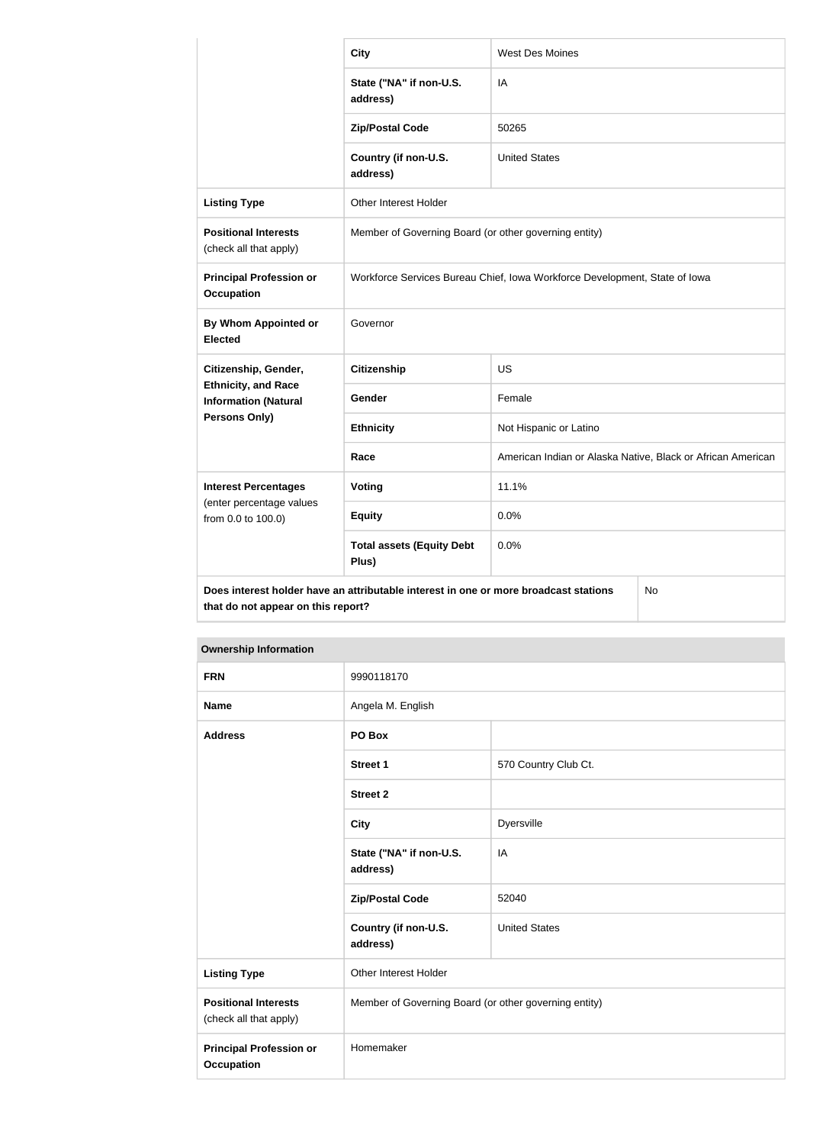|                                                                                                                                  | <b>City</b>                                                                | <b>West Des Moines</b>                                      |  |
|----------------------------------------------------------------------------------------------------------------------------------|----------------------------------------------------------------------------|-------------------------------------------------------------|--|
|                                                                                                                                  | State ("NA" if non-U.S.<br>address)                                        | IA                                                          |  |
|                                                                                                                                  | <b>Zip/Postal Code</b>                                                     | 50265                                                       |  |
|                                                                                                                                  | Country (if non-U.S.<br>address)                                           | <b>United States</b>                                        |  |
| <b>Listing Type</b>                                                                                                              | Other Interest Holder                                                      |                                                             |  |
| <b>Positional Interests</b><br>(check all that apply)                                                                            | Member of Governing Board (or other governing entity)                      |                                                             |  |
| <b>Principal Profession or</b><br><b>Occupation</b>                                                                              | Workforce Services Bureau Chief, Iowa Workforce Development, State of Iowa |                                                             |  |
| <b>By Whom Appointed or</b><br><b>Elected</b>                                                                                    | Governor                                                                   |                                                             |  |
| Citizenship, Gender,                                                                                                             | <b>Citizenship</b>                                                         | <b>US</b>                                                   |  |
| <b>Ethnicity, and Race</b><br><b>Information (Natural</b>                                                                        | Gender                                                                     | Female                                                      |  |
| <b>Persons Only)</b>                                                                                                             | <b>Ethnicity</b>                                                           | Not Hispanic or Latino                                      |  |
|                                                                                                                                  | Race                                                                       | American Indian or Alaska Native, Black or African American |  |
| <b>Interest Percentages</b>                                                                                                      | Voting                                                                     | 11.1%                                                       |  |
| (enter percentage values<br>from 0.0 to 100.0)                                                                                   | <b>Equity</b>                                                              | 0.0%                                                        |  |
|                                                                                                                                  | <b>Total assets (Equity Debt</b><br>Plus)                                  | 0.0%                                                        |  |
| Does interest holder have an attributable interest in one or more broadcast stations<br>No<br>that do not appear on this report? |                                                                            |                                                             |  |

| <b>Ownership Information</b>                          |                                                       |                      |
|-------------------------------------------------------|-------------------------------------------------------|----------------------|
| <b>FRN</b>                                            | 9990118170                                            |                      |
| <b>Name</b>                                           | Angela M. English                                     |                      |
| <b>Address</b>                                        | PO Box                                                |                      |
|                                                       | <b>Street 1</b>                                       | 570 Country Club Ct. |
|                                                       | <b>Street 2</b>                                       |                      |
|                                                       | <b>City</b>                                           | Dyersville           |
|                                                       | State ("NA" if non-U.S.<br>address)                   | IA                   |
|                                                       | <b>Zip/Postal Code</b>                                | 52040                |
|                                                       | Country (if non-U.S.<br>address)                      | <b>United States</b> |
| <b>Listing Type</b>                                   | Other Interest Holder                                 |                      |
| <b>Positional Interests</b><br>(check all that apply) | Member of Governing Board (or other governing entity) |                      |
| <b>Principal Profession or</b><br><b>Occupation</b>   | Homemaker                                             |                      |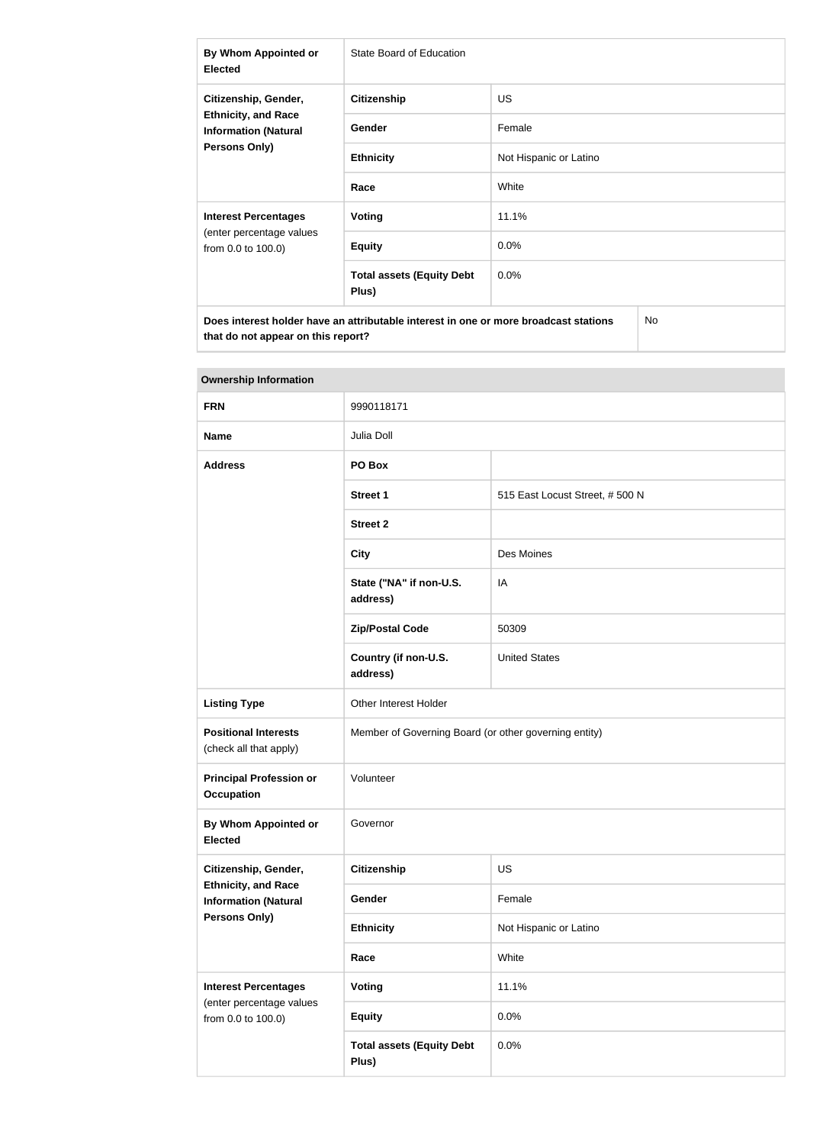| By Whom Appointed or<br><b>Elected</b>                                                                    | State Board of Education                  |                        |    |
|-----------------------------------------------------------------------------------------------------------|-------------------------------------------|------------------------|----|
| Citizenship, Gender,<br><b>Ethnicity, and Race</b><br><b>Information (Natural</b><br><b>Persons Only)</b> | <b>Citizenship</b>                        | <b>US</b>              |    |
|                                                                                                           | <b>Gender</b>                             | Female                 |    |
|                                                                                                           | <b>Ethnicity</b>                          | Not Hispanic or Latino |    |
|                                                                                                           | Race                                      | White                  |    |
| <b>Interest Percentages</b><br>(enter percentage values<br>from 0.0 to 100.0)                             | Voting                                    | 11.1%                  |    |
|                                                                                                           | <b>Equity</b>                             | $0.0\%$                |    |
|                                                                                                           | <b>Total assets (Equity Debt</b><br>Plus) | $0.0\%$                |    |
| Does interest holder have an attributable interest in one or more broadcast stations                      |                                           |                        | No |

| <b>Ownership Information</b>                              |                                                       |                                |  |
|-----------------------------------------------------------|-------------------------------------------------------|--------------------------------|--|
| <b>FRN</b>                                                | 9990118171                                            |                                |  |
| <b>Name</b>                                               | Julia Doll                                            |                                |  |
| <b>Address</b>                                            | PO Box                                                |                                |  |
|                                                           | <b>Street 1</b>                                       | 515 East Locust Street, #500 N |  |
|                                                           | <b>Street 2</b>                                       |                                |  |
|                                                           | <b>City</b>                                           | Des Moines                     |  |
|                                                           | State ("NA" if non-U.S.<br>address)                   | IA                             |  |
|                                                           | <b>Zip/Postal Code</b>                                | 50309                          |  |
|                                                           | Country (if non-U.S.<br>address)                      | <b>United States</b>           |  |
| <b>Listing Type</b>                                       | Other Interest Holder                                 |                                |  |
| <b>Positional Interests</b><br>(check all that apply)     | Member of Governing Board (or other governing entity) |                                |  |
| <b>Principal Profession or</b><br><b>Occupation</b>       | Volunteer                                             |                                |  |
| By Whom Appointed or<br><b>Elected</b>                    | Governor                                              |                                |  |
| Citizenship, Gender,                                      | <b>Citizenship</b>                                    | <b>US</b>                      |  |
| <b>Ethnicity, and Race</b><br><b>Information (Natural</b> | Gender                                                | Female                         |  |
| <b>Persons Only)</b>                                      | <b>Ethnicity</b>                                      | Not Hispanic or Latino         |  |
|                                                           | Race                                                  | White                          |  |
| <b>Interest Percentages</b>                               | Voting                                                | 11.1%                          |  |
| (enter percentage values<br>from 0.0 to 100.0)            | <b>Equity</b>                                         | 0.0%                           |  |
|                                                           | <b>Total assets (Equity Debt</b><br>Plus)             | 0.0%                           |  |

#### **Ownership Information**

**that do not appear on this report?**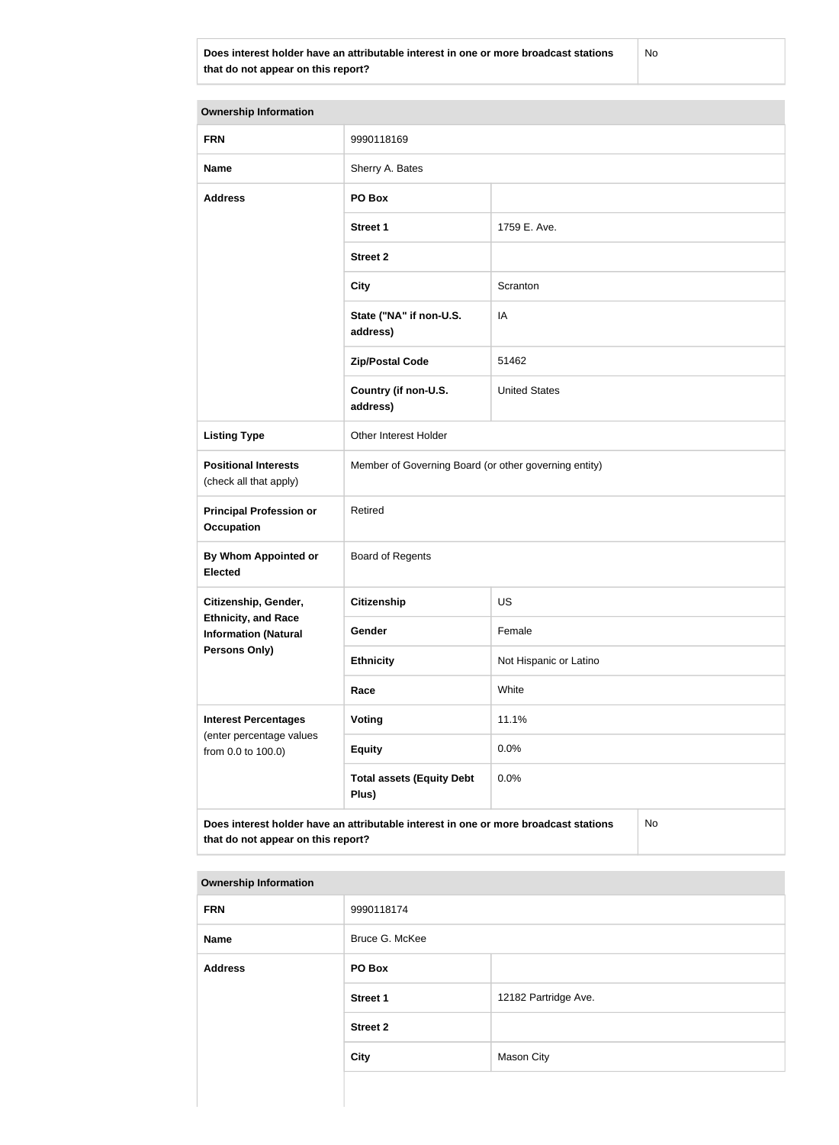**Does interest holder have an attributable interest in one or more broadcast stations that do not appear on this report?**

No

| <b>Ownership Information</b>                                                                                                     |                                                       |                        |  |  |
|----------------------------------------------------------------------------------------------------------------------------------|-------------------------------------------------------|------------------------|--|--|
| <b>FRN</b>                                                                                                                       | 9990118169                                            |                        |  |  |
| <b>Name</b>                                                                                                                      | Sherry A. Bates                                       |                        |  |  |
| <b>Address</b>                                                                                                                   | PO Box                                                |                        |  |  |
|                                                                                                                                  | <b>Street 1</b>                                       | 1759 E. Ave.           |  |  |
|                                                                                                                                  | <b>Street 2</b>                                       |                        |  |  |
|                                                                                                                                  | <b>City</b>                                           | Scranton               |  |  |
|                                                                                                                                  | State ("NA" if non-U.S.<br>address)                   | IA                     |  |  |
|                                                                                                                                  | <b>Zip/Postal Code</b>                                | 51462                  |  |  |
|                                                                                                                                  | Country (if non-U.S.<br>address)                      | <b>United States</b>   |  |  |
| <b>Listing Type</b>                                                                                                              | Other Interest Holder                                 |                        |  |  |
| <b>Positional Interests</b><br>(check all that apply)                                                                            | Member of Governing Board (or other governing entity) |                        |  |  |
| <b>Principal Profession or</b><br><b>Occupation</b>                                                                              | Retired                                               |                        |  |  |
| By Whom Appointed or<br><b>Elected</b>                                                                                           | <b>Board of Regents</b>                               |                        |  |  |
| Citizenship, Gender,                                                                                                             | <b>Citizenship</b>                                    | <b>US</b>              |  |  |
| <b>Ethnicity, and Race</b><br><b>Information (Natural</b>                                                                        | <b>Gender</b>                                         | Female                 |  |  |
| <b>Persons Only)</b>                                                                                                             | <b>Ethnicity</b>                                      | Not Hispanic or Latino |  |  |
|                                                                                                                                  | Race                                                  | White                  |  |  |
| <b>Interest Percentages</b><br>(enter percentage values                                                                          | Voting                                                | 11.1%                  |  |  |
| from 0.0 to 100.0)                                                                                                               | <b>Equity</b>                                         | 0.0%                   |  |  |
|                                                                                                                                  | <b>Total assets (Equity Debt</b><br>Plus)             | 0.0%                   |  |  |
| Does interest holder have an attributable interest in one or more broadcast stations<br>No<br>that do not appear on this report? |                                                       |                        |  |  |

#### **Ownership Information**

| <b>FRN</b>     | 9990118174      |                      |
|----------------|-----------------|----------------------|
| <b>Name</b>    | Bruce G. McKee  |                      |
| <b>Address</b> | PO Box          |                      |
|                | <b>Street 1</b> | 12182 Partridge Ave. |
|                | <b>Street 2</b> |                      |
|                | City            | Mason City           |
|                |                 |                      |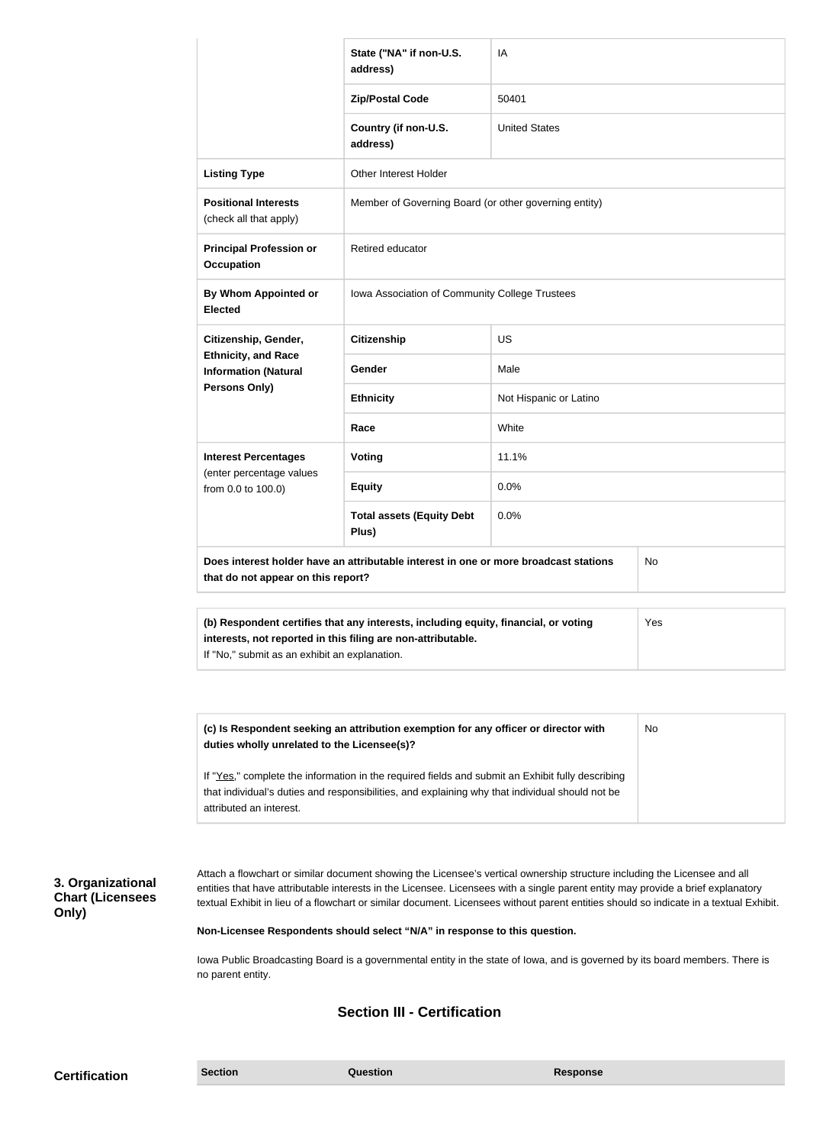|                                                                                                                                                                                                      | State ("NA" if non-U.S.<br>address)                   | IA                     |           |
|------------------------------------------------------------------------------------------------------------------------------------------------------------------------------------------------------|-------------------------------------------------------|------------------------|-----------|
|                                                                                                                                                                                                      | <b>Zip/Postal Code</b>                                | 50401                  |           |
|                                                                                                                                                                                                      | Country (if non-U.S.<br>address)                      | <b>United States</b>   |           |
| <b>Listing Type</b>                                                                                                                                                                                  | <b>Other Interest Holder</b>                          |                        |           |
| <b>Positional Interests</b><br>(check all that apply)                                                                                                                                                | Member of Governing Board (or other governing entity) |                        |           |
| <b>Principal Profession or</b><br><b>Occupation</b>                                                                                                                                                  | Retired educator                                      |                        |           |
| <b>By Whom Appointed or</b><br><b>Elected</b>                                                                                                                                                        | Iowa Association of Community College Trustees        |                        |           |
| Citizenship, Gender,<br><b>Ethnicity, and Race</b><br><b>Information (Natural</b><br>Persons Only)                                                                                                   | <b>Citizenship</b>                                    | <b>US</b>              |           |
|                                                                                                                                                                                                      | Gender                                                | Male                   |           |
|                                                                                                                                                                                                      | <b>Ethnicity</b>                                      | Not Hispanic or Latino |           |
|                                                                                                                                                                                                      | Race                                                  | White                  |           |
| <b>Interest Percentages</b><br>(enter percentage values<br>from 0.0 to 100.0)                                                                                                                        | Voting                                                | 11.1%                  |           |
|                                                                                                                                                                                                      | <b>Equity</b>                                         | 0.0%                   |           |
|                                                                                                                                                                                                      | <b>Total assets (Equity Debt</b><br>Plus)             | 0.0%                   |           |
| Does interest holder have an attributable interest in one or more broadcast stations<br>that do not appear on this report?                                                                           |                                                       |                        | <b>No</b> |
| (b) Respondent certifies that any interests, including equity, financial, or voting<br>interests, not reported in this filing are non-attributable.<br>If "No," submit as an exhibit an explanation. | Yes                                                   |                        |           |

**(c) Is Respondent seeking an attribution exemption for any officer or director with duties wholly unrelated to the Licensee(s)?** If "Yes," complete the information in the required fields and submit an Exhibit fully describing that individual's duties and responsibilities, and explaining why that individual should not be attributed an interest. No

### **3. Organizational Chart (Licensees Only)**

Attach a flowchart or similar document showing the Licensee's vertical ownership structure including the Licensee and all entities that have attributable interests in the Licensee. Licensees with a single parent entity may provide a brief explanatory textual Exhibit in lieu of a flowchart or similar document. Licensees without parent entities should so indicate in a textual Exhibit.

**Non-Licensee Respondents should select "N/A" in response to this question.**

Iowa Public Broadcasting Board is a governmental entity in the state of Iowa, and is governed by its board members. There is no parent entity.

### **Section III - Certification**